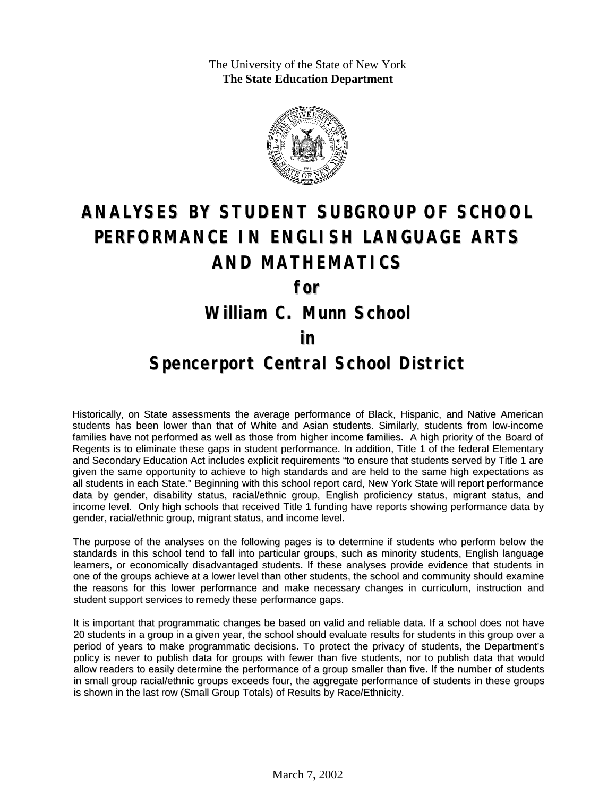The University of the State of New York **The State Education Department**



# **ANALYSES BY STUDENT SUBGROUP OF SCHOOL PERFORMANCE IN ENGLISH LANGUAGE ARTS AND MATHEMATICS**

**for**

**William C. Munn School**

#### **in**

### **Spencerport Central School District**

Historically, on State assessments the average performance of Black, Hispanic, and Native American students has been lower than that of White and Asian students. Similarly, students from low-income families have not performed as well as those from higher income families. A high priority of the Board of Regents is to eliminate these gaps in student performance. In addition, Title 1 of the federal Elementary and Secondary Education Act includes explicit requirements "to ensure that students served by Title 1 are given the same opportunity to achieve to high standards and are held to the same high expectations as all students in each State." Beginning with this school report card, New York State will report performance data by gender, disability status, racial/ethnic group, English proficiency status, migrant status, and income level. Only high schools that received Title 1 funding have reports showing performance data by gender, racial/ethnic group, migrant status, and income level.

The purpose of the analyses on the following pages is to determine if students who perform below the standards in this school tend to fall into particular groups, such as minority students, English language learners, or economically disadvantaged students. If these analyses provide evidence that students in one of the groups achieve at a lower level than other students, the school and community should examine the reasons for this lower performance and make necessary changes in curriculum, instruction and student support services to remedy these performance gaps.

It is important that programmatic changes be based on valid and reliable data. If a school does not have 20 students in a group in a given year, the school should evaluate results for students in this group over a period of years to make programmatic decisions. To protect the privacy of students, the Department's policy is never to publish data for groups with fewer than five students, nor to publish data that would allow readers to easily determine the performance of a group smaller than five. If the number of students in small group racial/ethnic groups exceeds four, the aggregate performance of students in these groups is shown in the last row (Small Group Totals) of Results by Race/Ethnicity.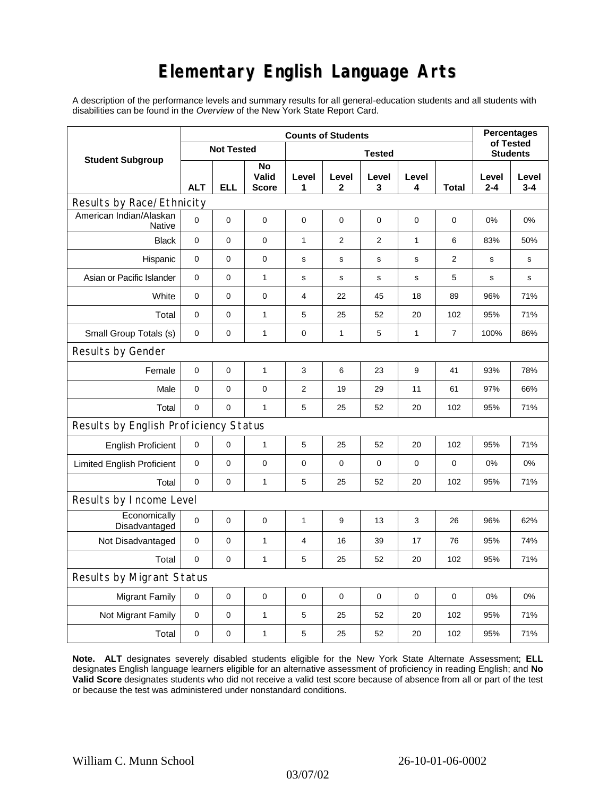## **Elementary English Language Arts**

A description of the performance levels and summary results for all general-education students and all students with disabilities can be found in the *Overview* of the New York State Report Card.

| <b>Student Subgroup</b>                  | <b>Counts of Students</b> |          |                             |               |              |             |              |                | <b>Percentages</b><br>of Tested |                  |
|------------------------------------------|---------------------------|----------|-----------------------------|---------------|--------------|-------------|--------------|----------------|---------------------------------|------------------|
|                                          | <b>Not Tested</b>         |          |                             | <b>Tested</b> |              |             |              |                | <b>Students</b>                 |                  |
|                                          | <b>ALT</b>                | ELL      | No<br>Valid<br><b>Score</b> | Level<br>1    | Level<br>2   | Level<br>3  | Level<br>4   | Total          | Level<br>$2 - 4$                | Level<br>$3 - 4$ |
| Results by Race/Ethnicity                |                           |          |                             |               |              |             |              |                |                                 |                  |
| American Indian/Alaskan<br><b>Native</b> | $\mathbf 0$               | 0        | 0                           | $\mathbf 0$   | $\mathbf 0$  | $\mathbf 0$ | 0            | 0              | 0%                              | 0%               |
| <b>Black</b>                             | $\mathbf 0$               | 0        | 0                           | $\mathbf{1}$  | 2            | 2           | $\mathbf{1}$ | 6              | 83%                             | 50%              |
| Hispanic                                 | $\mathbf 0$               | 0        | $\pmb{0}$                   | s             | s            | $\mathbf S$ | s            | $\overline{2}$ | s                               | s                |
| Asian or Pacific Islander                | 0                         | 0        | $\mathbf{1}$                | s             | s            | $\mathbf s$ | s            | 5              | s                               | s                |
| White                                    | $\pmb{0}$                 | 0        | $\pmb{0}$                   | 4             | 22           | 45          | 18           | 89             | 96%                             | 71%              |
| Total                                    | 0                         | 0        | $\mathbf{1}$                | 5             | 25           | 52          | 20           | 102            | 95%                             | 71%              |
| Small Group Totals (s)                   | 0                         | 0        | $\mathbf{1}$                | 0             | $\mathbf{1}$ | 5           | 1            | $\overline{7}$ | 100%                            | 86%              |
| Results by Gender                        |                           |          |                             |               |              |             |              |                |                                 |                  |
| Female                                   | $\mathbf 0$               | 0        | $\mathbf{1}$                | 3             | 6            | 23          | 9            | 41             | 93%                             | 78%              |
| Male                                     | $\mathbf 0$               | 0        | $\pmb{0}$                   | 2             | 19           | 29          | 11           | 61             | 97%                             | 66%              |
| Total                                    | 0                         | 0        | $\mathbf{1}$                | 5             | 25           | 52          | 20           | 102            | 95%                             | 71%              |
| Results by English Proficiency Status    |                           |          |                             |               |              |             |              |                |                                 |                  |
| <b>English Proficient</b>                | 0                         | 0        | $\mathbf{1}$                | 5             | 25           | 52          | 20           | 102            | 95%                             | 71%              |
| <b>Limited English Proficient</b>        | 0                         | 0        | 0                           | $\pmb{0}$     | $\mathbf 0$  | $\mathbf 0$ | $\mathbf 0$  | 0              | 0%                              | 0%               |
| Total                                    | $\mathbf 0$               | 0        | 1                           | 5             | 25           | 52          | 20           | 102            | 95%                             | 71%              |
| Results by Income Level                  |                           |          |                             |               |              |             |              |                |                                 |                  |
| Economically<br>Disadvantaged            | $\mathbf 0$               | 0        | $\mathbf 0$                 | 1             | 9            | 13          | 3            | 26             | 96%                             | 62%              |
| Not Disadvantaged                        | $\mathbf 0$               | 0        | $\mathbf{1}$                | 4             | 16           | 39          | 17           | 76             | 95%                             | 74%              |
| Total                                    | $\mathbf 0$               | $\Omega$ | $\mathbf{1}$                | 5             | 25           | 52          | 20           | 102            | 95%                             | 71%              |
| Results by Migrant Status                |                           |          |                             |               |              |             |              |                |                                 |                  |
| <b>Migrant Family</b>                    | 0                         | 0        | $\pmb{0}$                   | 0             | 0            | $\mathbf 0$ | 0            | 0              | 0%                              | 0%               |
| Not Migrant Family                       | 0                         | 0        | $\mathbf{1}$                | 5             | 25           | 52          | 20           | 102            | 95%                             | 71%              |
| Total                                    | 0                         | 0        | $\mathbf{1}$                | 5             | 25           | 52          | 20           | 102            | 95%                             | 71%              |

**Note. ALT** designates severely disabled students eligible for the New York State Alternate Assessment; **ELL** designates English language learners eligible for an alternative assessment of proficiency in reading English; and **No Valid Score** designates students who did not receive a valid test score because of absence from all or part of the test or because the test was administered under nonstandard conditions.

03/07/02